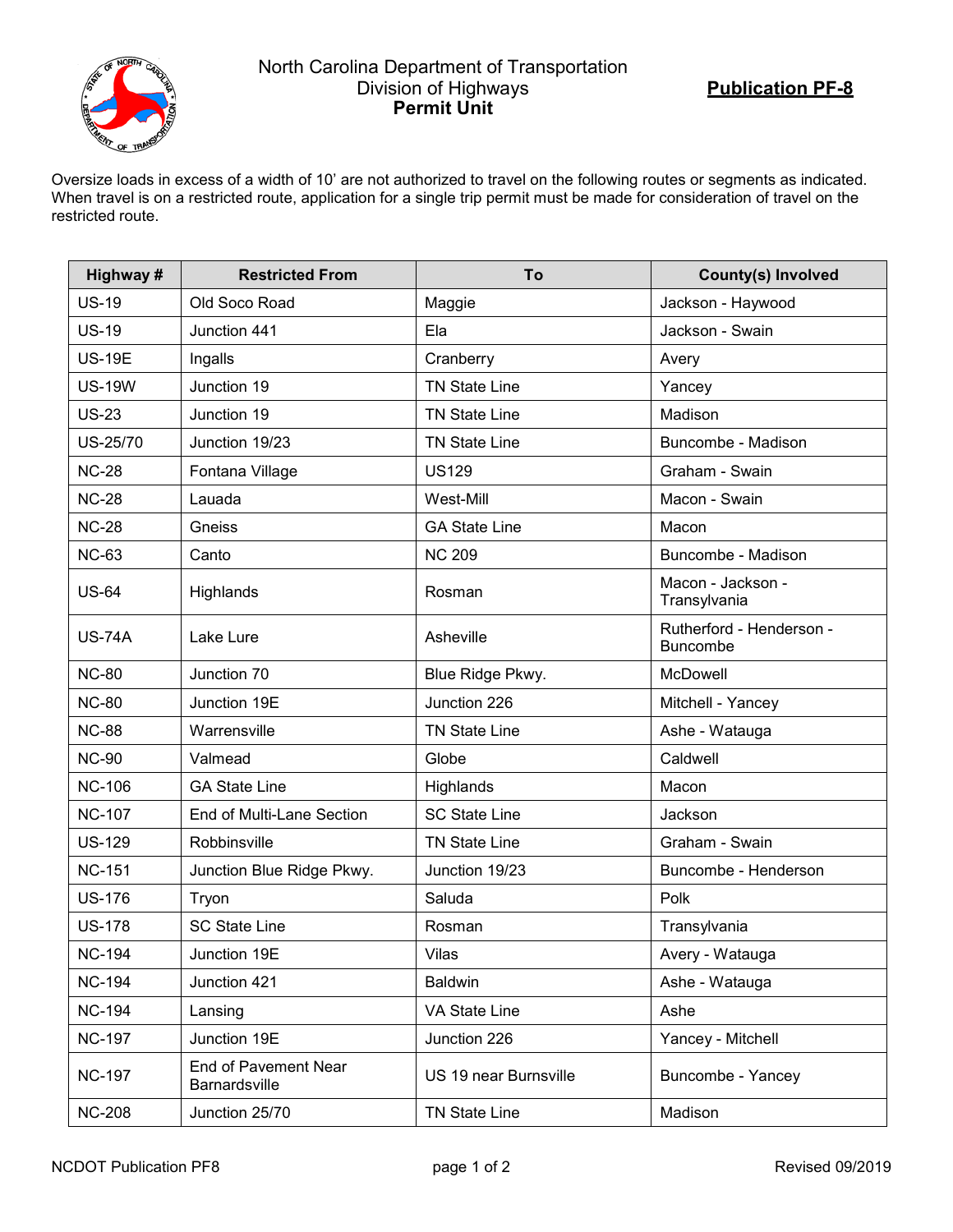

## North Carolina Department of Transportation Division of Highways **Permit Unit**

Oversize loads in excess of a width of 10' are not authorized to travel on the following routes or segments as indicated. When travel is on a restricted route, application for a single trip permit must be made for consideration of travel on the restricted route.

| Highway#      | <b>Restricted From</b>                | To                    | <b>County(s) Involved</b>                   |
|---------------|---------------------------------------|-----------------------|---------------------------------------------|
| <b>US-19</b>  | Old Soco Road                         | Maggie                | Jackson - Haywood                           |
| <b>US-19</b>  | Junction 441                          | Ela                   | Jackson - Swain                             |
| <b>US-19E</b> | Ingalls                               | Cranberry             | Avery                                       |
| <b>US-19W</b> | Junction 19                           | <b>TN State Line</b>  | Yancey                                      |
| <b>US-23</b>  | Junction 19                           | <b>TN State Line</b>  | Madison                                     |
| US-25/70      | Junction 19/23                        | <b>TN State Line</b>  | Buncombe - Madison                          |
| <b>NC-28</b>  | Fontana Village                       | <b>US129</b>          | Graham - Swain                              |
| <b>NC-28</b>  | Lauada                                | West-Mill             | Macon - Swain                               |
| <b>NC-28</b>  | Gneiss                                | <b>GA State Line</b>  | Macon                                       |
| <b>NC-63</b>  | Canto                                 | <b>NC 209</b>         | Buncombe - Madison                          |
| <b>US-64</b>  | Highlands                             | Rosman                | Macon - Jackson -<br>Transylvania           |
| <b>US-74A</b> | Lake Lure                             | Asheville             | Rutherford - Henderson -<br><b>Buncombe</b> |
| <b>NC-80</b>  | Junction 70                           | Blue Ridge Pkwy.      | McDowell                                    |
| <b>NC-80</b>  | Junction 19E                          | Junction 226          | Mitchell - Yancey                           |
| <b>NC-88</b>  | Warrensville                          | <b>TN State Line</b>  | Ashe - Watauga                              |
| <b>NC-90</b>  | Valmead                               | Globe                 | Caldwell                                    |
| <b>NC-106</b> | <b>GA State Line</b>                  | Highlands             | Macon                                       |
| <b>NC-107</b> | End of Multi-Lane Section             | <b>SC State Line</b>  | Jackson                                     |
| <b>US-129</b> | Robbinsville                          | <b>TN State Line</b>  | Graham - Swain                              |
| <b>NC-151</b> | Junction Blue Ridge Pkwy.             | Junction 19/23        | Buncombe - Henderson                        |
| <b>US-176</b> | Tryon                                 | Saluda                | Polk                                        |
| <b>US-178</b> | <b>SC State Line</b>                  | Rosman                | Transylvania                                |
| <b>NC-194</b> | Junction 19E                          | Vilas                 | Avery - Watauga                             |
| <b>NC-194</b> | Junction 421                          | <b>Baldwin</b>        | Ashe - Watauga                              |
| <b>NC-194</b> | Lansing                               | VA State Line         | Ashe                                        |
| <b>NC-197</b> | Junction 19E                          | Junction 226          | Yancey - Mitchell                           |
| <b>NC-197</b> | End of Pavement Near<br>Barnardsville | US 19 near Burnsville | Buncombe - Yancey                           |
| <b>NC-208</b> | Junction 25/70                        | <b>TN State Line</b>  | Madison                                     |